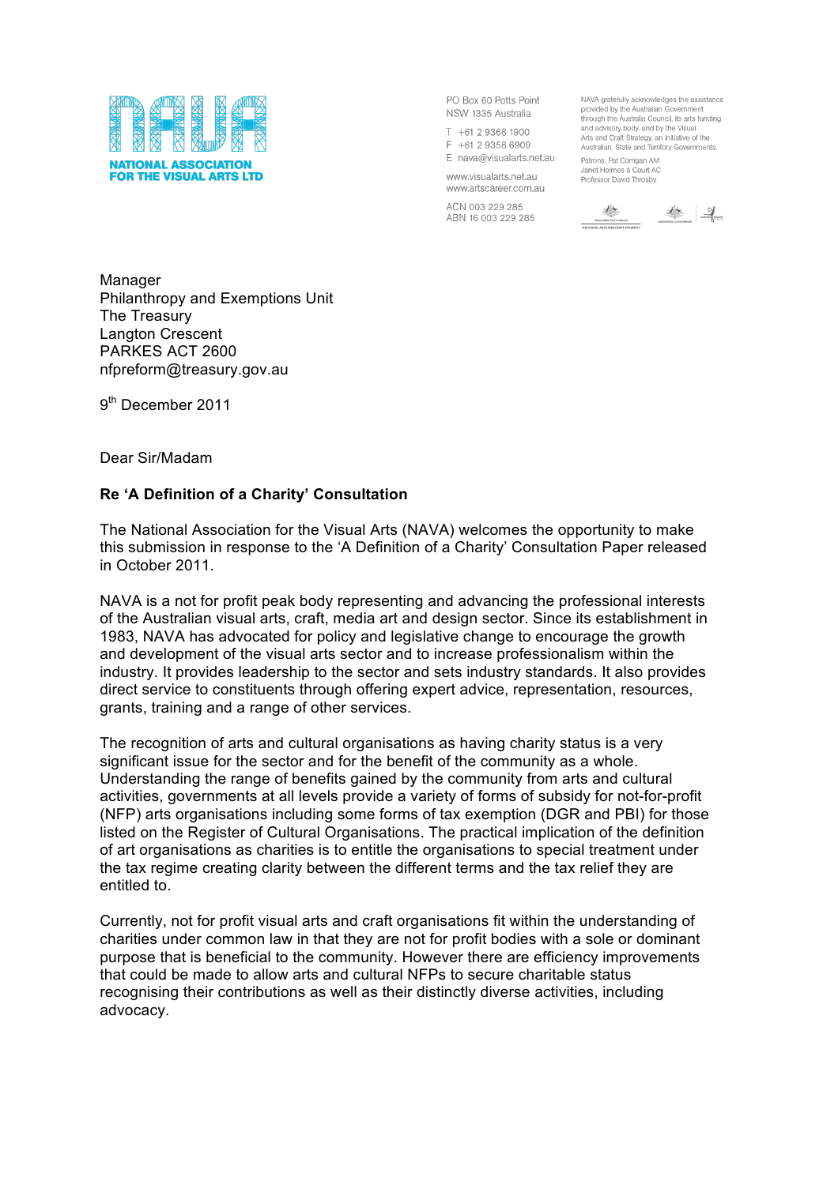

PO Box 60 Potts Point NSW 1335 Australia

 $T + 61293681900$ F +61 2 9358 6909 E nava@visualarts.net.au

www.visualarts.net.au www.artscareer.com.au

ACN 003 229 285 ABN 16 003 229 285

NAVA gratefully acknowledges the assistance provided by the Australian Government through the Australia Council, its arts funding and advisory body, and by the Visual Arts and Craft Strategy, an initiative of the<br>Arts and Craft Strategy, an initiative of the<br>Australian, State and Territory Governments.

Patrons: Pat Corrigan AM Janet Holmes à Court AC Professor David Throsby

 $\underbrace{\underbrace{\underbrace{\begin{array}{c}\int_{0}^{k_1} \int_{\mathbb{R}^{n_1}}\sum_{j=1}^{k_1} \sum_{j=1}^{k_1} \sum_{j=1}^{k_1} \sum_{j=1}^{k_1} \sum_{j=1}^{k_1} \sum_{j=1}^{k_1} \sum_{j=1}^{k_1} \sum_{j=1}^{k_1} \sum_{j=1}^{k_1} \sum_{j=1}^{k_1} \sum_{j=1}^{k_1} \sum_{j=1}^{k_1} \sum_{j=1}^{k_1} \sum_{j=1}^{k_1} \sum_{j=1}^{k_1} \$ 

Manager Philanthropy and Exemptions Unit The Treasury Langton Crescent PARKES ACT 2600 nfpreform@treasury.gov.au

9<sup>th</sup> December 2011

Dear Sir/Madam

# **Re 'A Definition of a Charity' Consultation**

The National Association for the Visual Arts (NAVA) welcomes the opportunity to make this submission in response to the 'A Definition of a Charity' Consultation Paper released in October 2011.

NAVA is a not for profit peak body representing and advancing the professional interests of the Australian visual arts, craft, media art and design sector. Since its establishment in 1983, NAVA has advocated for policy and legislative change to encourage the growth and development of the visual arts sector and to increase professionalism within the industry. It provides leadership to the sector and sets industry standards. It also provides direct service to constituents through offering expert advice, representation, resources, grants, training and a range of other services.

The recognition of arts and cultural organisations as having charity status is a very significant issue for the sector and for the benefit of the community as a whole. Understanding the range of benefits gained by the community from arts and cultural activities, governments at all levels provide a variety of forms of subsidy for not-for-profit (NFP) arts organisations including some forms of tax exemption (DGR and PBI) for those listed on the Register of Cultural Organisations. The practical implication of the definition of art organisations as charities is to entitle the organisations to special treatment under the tax regime creating clarity between the different terms and the tax relief they are entitled to.

Currently, not for profit visual arts and craft organisations fit within the understanding of charities under common law in that they are not for profit bodies with a sole or dominant purpose that is beneficial to the community. However there are efficiency improvements that could be made to allow arts and cultural NFPs to secure charitable status recognising their contributions as well as their distinctly diverse activities, including advocacy.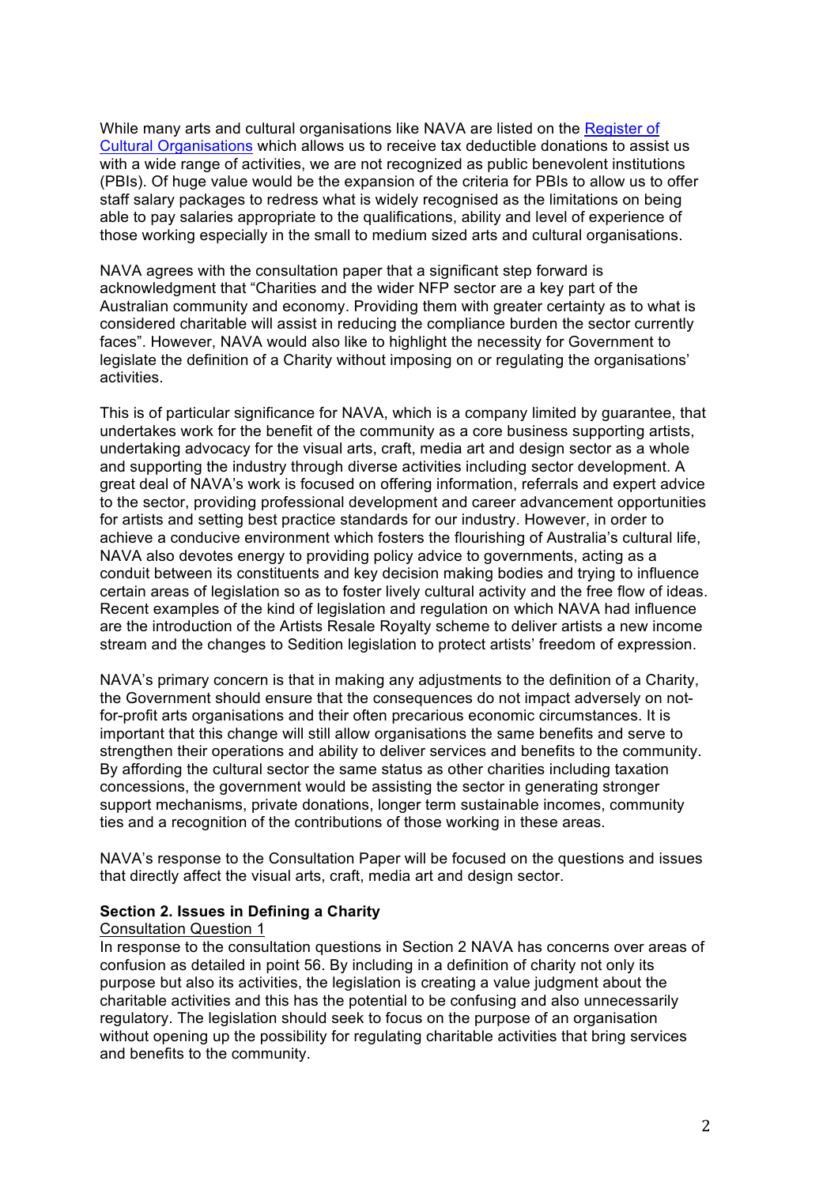While many arts and cultural organisations like NAVA are listed on the Register of Cultural Organisations which allows us to receive tax deductible donations to assist us with a wide range of activities, we are not recognized as public benevolent institutions (PBIs). Of huge value would be the expansion of the criteria for PBIs to allow us to offer staff salary packages to redress what is widely recognised as the limitations on being able to pay salaries appropriate to the qualifications, ability and level of experience of those working especially in the small to medium sized arts and cultural organisations.

NAVA agrees with the consultation paper that a significant step forward is acknowledgment that "Charities and the wider NFP sector are a key part of the Australian community and economy. Providing them with greater certainty as to what is considered charitable will assist in reducing the compliance burden the sector currently faces". However, NAVA would also like to highlight the necessity for Government to legislate the definition of a Charity without imposing on or regulating the organisations' activities.

This is of particular significance for NAVA, which is a company limited by guarantee, that undertakes work for the benefit of the community as a core business supporting artists, undertaking advocacy for the visual arts, craft, media art and design sector as a whole and supporting the industry through diverse activities including sector development. A great deal of NAVA's work is focused on offering information, referrals and expert advice to the sector, providing professional development and career advancement opportunities for artists and setting best practice standards for our industry. However, in order to achieve a conducive environment which fosters the flourishing of Australia's cultural life, NAVA also devotes energy to providing policy advice to governments, acting as a conduit between its constituents and key decision making bodies and trying to influence certain areas of legislation so as to foster lively cultural activity and the free flow of ideas. Recent examples of the kind of legislation and regulation on which NAVA had influence are the introduction of the Artists Resale Royalty scheme to deliver artists a new income stream and the changes to Sedition legislation to protect artists' freedom of expression.

NAVA's primary concern is that in making any adjustments to the definition of a Charity, the Government should ensure that the consequences do not impact adversely on notfor-profit arts organisations and their often precarious economic circumstances. It is important that this change will still allow organisations the same benefits and serve to strengthen their operations and ability to deliver services and benefits to the community. By affording the cultural sector the same status as other charities including taxation concessions, the government would be assisting the sector in generating stronger support mechanisms, private donations, longer term sustainable incomes, community ties and a recognition of the contributions of those working in these areas.

NAVA's response to the Consultation Paper will be focused on the questions and issues that directly affect the visual arts, craft, media art and design sector.

## **Section 2. Issues in Defining a Charity**

#### Consultation Question 1

In response to the consultation questions in Section 2 NAVA has concerns over areas of confusion as detailed in point 56. By including in a definition of charity not only its purpose but also its activities, the legislation is creating a value judgment about the charitable activities and this has the potential to be confusing and also unnecessarily regulatory. The legislation should seek to focus on the purpose of an organisation without opening up the possibility for regulating charitable activities that bring services and benefits to the community.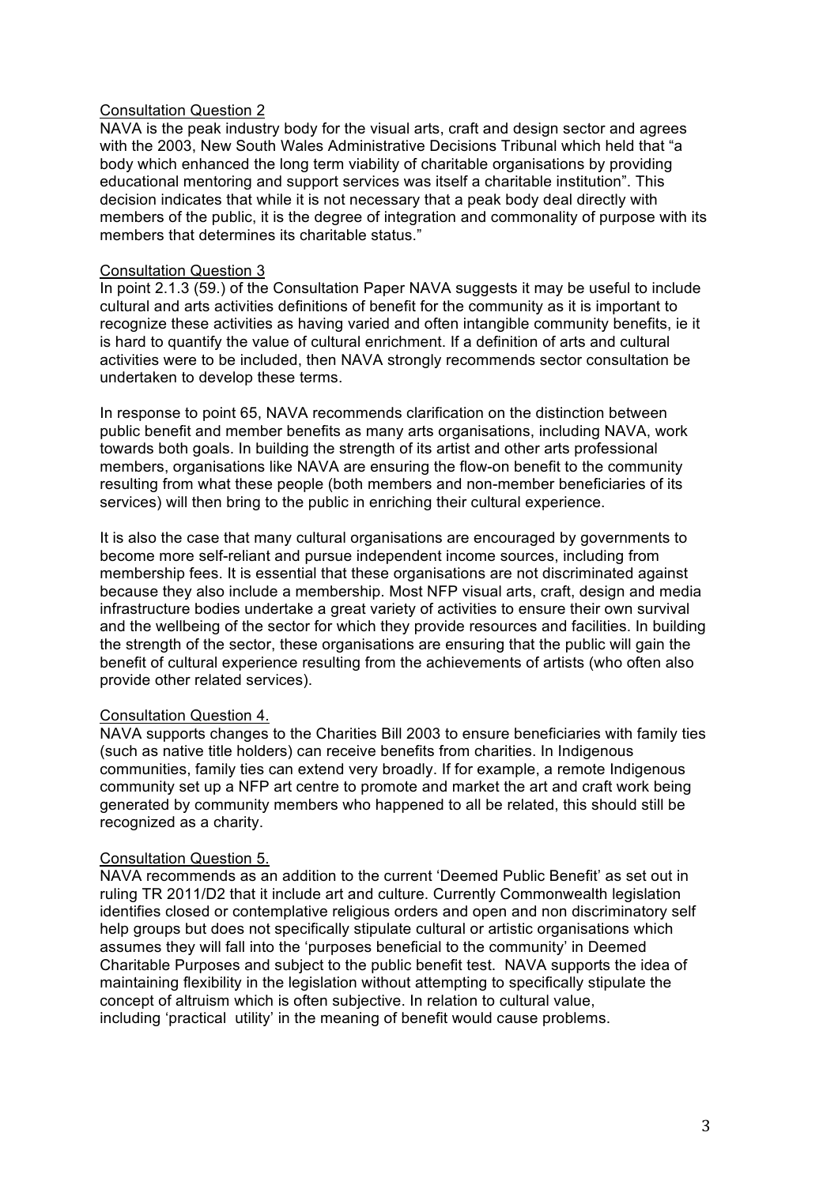### Consultation Question 2

NAVA is the peak industry body for the visual arts, craft and design sector and agrees with the 2003, New South Wales Administrative Decisions Tribunal which held that "a body which enhanced the long term viability of charitable organisations by providing educational mentoring and support services was itself a charitable institution". This decision indicates that while it is not necessary that a peak body deal directly with members of the public, it is the degree of integration and commonality of purpose with its members that determines its charitable status."

### Consultation Question 3

In point 2.1.3 (59.) of the Consultation Paper NAVA suggests it may be useful to include cultural and arts activities definitions of benefit for the community as it is important to recognize these activities as having varied and often intangible community benefits, ie it is hard to quantify the value of cultural enrichment. If a definition of arts and cultural activities were to be included, then NAVA strongly recommends sector consultation be undertaken to develop these terms.

In response to point 65, NAVA recommends clarification on the distinction between public benefit and member benefits as many arts organisations, including NAVA, work towards both goals. In building the strength of its artist and other arts professional members, organisations like NAVA are ensuring the flow-on benefit to the community resulting from what these people (both members and non-member beneficiaries of its services) will then bring to the public in enriching their cultural experience.

It is also the case that many cultural organisations are encouraged by governments to become more self-reliant and pursue independent income sources, including from membership fees. It is essential that these organisations are not discriminated against because they also include a membership. Most NFP visual arts, craft, design and media infrastructure bodies undertake a great variety of activities to ensure their own survival and the wellbeing of the sector for which they provide resources and facilities. In building the strength of the sector, these organisations are ensuring that the public will gain the benefit of cultural experience resulting from the achievements of artists (who often also provide other related services).

## Consultation Question 4.

NAVA supports changes to the Charities Bill 2003 to ensure beneficiaries with family ties (such as native title holders) can receive benefits from charities. In Indigenous communities, family ties can extend very broadly. If for example, a remote Indigenous community set up a NFP art centre to promote and market the art and craft work being generated by community members who happened to all be related, this should still be recognized as a charity.

#### Consultation Question 5.

NAVA recommends as an addition to the current 'Deemed Public Benefit' as set out in ruling TR 2011/D2 that it include art and culture. Currently Commonwealth legislation identifies closed or contemplative religious orders and open and non discriminatory self help groups but does not specifically stipulate cultural or artistic organisations which assumes they will fall into the 'purposes beneficial to the community' in Deemed Charitable Purposes and subject to the public benefit test. NAVA supports the idea of maintaining flexibility in the legislation without attempting to specifically stipulate the concept of altruism which is often subjective. In relation to cultural value, including 'practical utility' in the meaning of benefit would cause problems.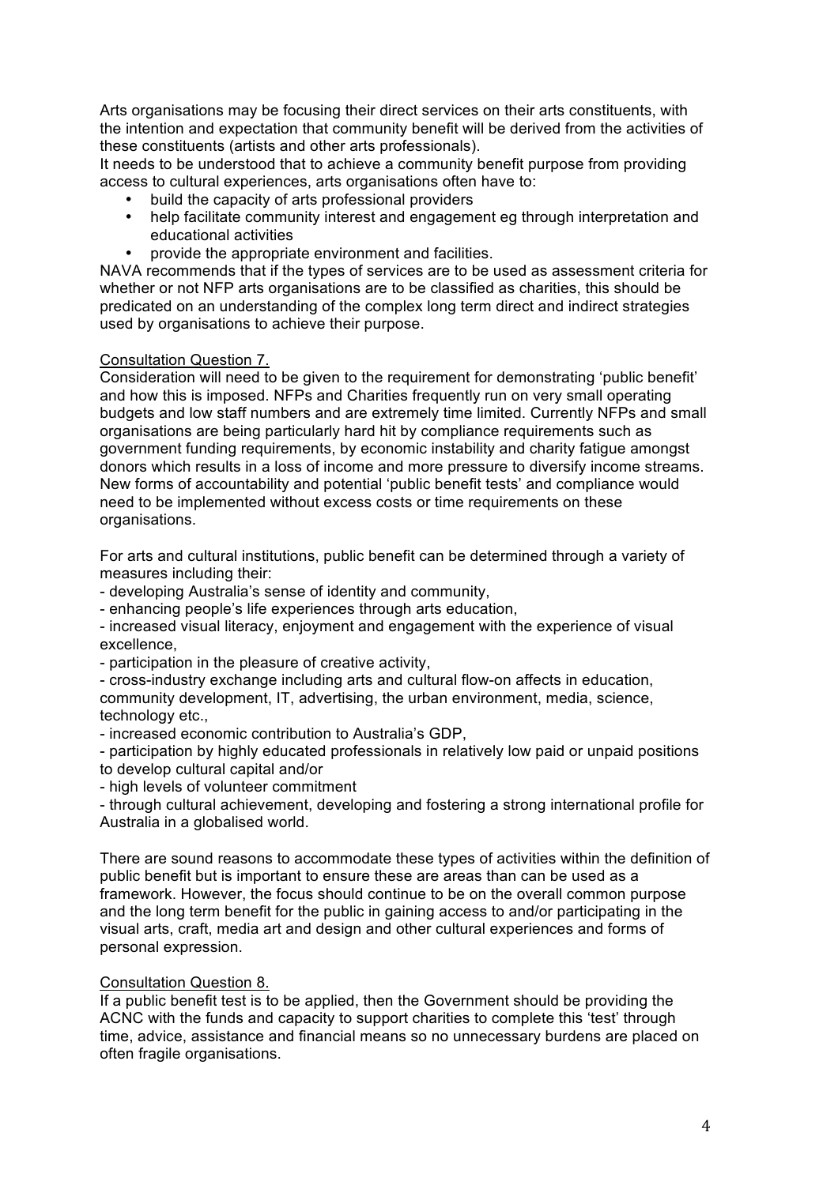Arts organisations may be focusing their direct services on their arts constituents, with the intention and expectation that community benefit will be derived from the activities of these constituents (artists and other arts professionals).

It needs to be understood that to achieve a community benefit purpose from providing access to cultural experiences, arts organisations often have to:

- build the capacity of arts professional providers
- help facilitate community interest and engagement eg through interpretation and educational activities
- provide the appropriate environment and facilities.

NAVA recommends that if the types of services are to be used as assessment criteria for whether or not NFP arts organisations are to be classified as charities, this should be predicated on an understanding of the complex long term direct and indirect strategies used by organisations to achieve their purpose.

### Consultation Question 7.

Consideration will need to be given to the requirement for demonstrating 'public benefit' and how this is imposed. NFPs and Charities frequently run on very small operating budgets and low staff numbers and are extremely time limited. Currently NFPs and small organisations are being particularly hard hit by compliance requirements such as government funding requirements, by economic instability and charity fatigue amongst donors which results in a loss of income and more pressure to diversify income streams. New forms of accountability and potential 'public benefit tests' and compliance would need to be implemented without excess costs or time requirements on these organisations.

For arts and cultural institutions, public benefit can be determined through a variety of measures including their:

- developing Australia's sense of identity and community,

- enhancing people's life experiences through arts education,

- increased visual literacy, enjoyment and engagement with the experience of visual excellence,

- participation in the pleasure of creative activity,

- cross-industry exchange including arts and cultural flow-on affects in education, community development, IT, advertising, the urban environment, media, science, technology etc.,

- increased economic contribution to Australia's GDP,

- participation by highly educated professionals in relatively low paid or unpaid positions to develop cultural capital and/or

- high levels of volunteer commitment

- through cultural achievement, developing and fostering a strong international profile for Australia in a globalised world.

There are sound reasons to accommodate these types of activities within the definition of public benefit but is important to ensure these are areas than can be used as a framework. However, the focus should continue to be on the overall common purpose and the long term benefit for the public in gaining access to and/or participating in the visual arts, craft, media art and design and other cultural experiences and forms of personal expression.

#### Consultation Question 8.

If a public benefit test is to be applied, then the Government should be providing the ACNC with the funds and capacity to support charities to complete this 'test' through time, advice, assistance and financial means so no unnecessary burdens are placed on often fragile organisations.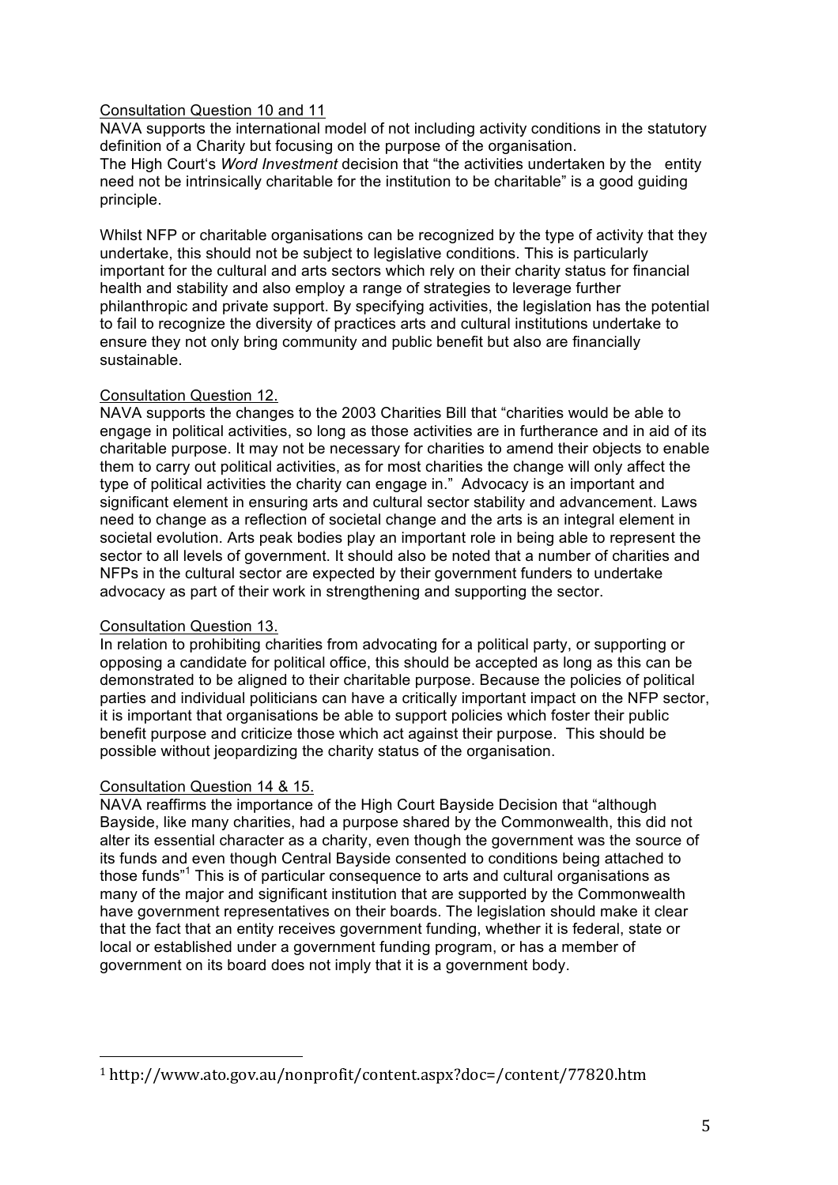## Consultation Question 10 and 11

NAVA supports the international model of not including activity conditions in the statutory definition of a Charity but focusing on the purpose of the organisation. The High Court's *Word Investment* decision that "the activities undertaken by the entity need not be intrinsically charitable for the institution to be charitable" is a good guiding principle.

Whilst NFP or charitable organisations can be recognized by the type of activity that they undertake, this should not be subject to legislative conditions. This is particularly important for the cultural and arts sectors which rely on their charity status for financial health and stability and also employ a range of strategies to leverage further philanthropic and private support. By specifying activities, the legislation has the potential to fail to recognize the diversity of practices arts and cultural institutions undertake to ensure they not only bring community and public benefit but also are financially sustainable.

## Consultation Question 12.

NAVA supports the changes to the 2003 Charities Bill that "charities would be able to engage in political activities, so long as those activities are in furtherance and in aid of its charitable purpose. It may not be necessary for charities to amend their objects to enable them to carry out political activities, as for most charities the change will only affect the type of political activities the charity can engage in." Advocacy is an important and significant element in ensuring arts and cultural sector stability and advancement. Laws need to change as a reflection of societal change and the arts is an integral element in societal evolution. Arts peak bodies play an important role in being able to represent the sector to all levels of government. It should also be noted that a number of charities and NFPs in the cultural sector are expected by their government funders to undertake advocacy as part of their work in strengthening and supporting the sector.

## Consultation Question 13.

In relation to prohibiting charities from advocating for a political party, or supporting or opposing a candidate for political office, this should be accepted as long as this can be demonstrated to be aligned to their charitable purpose. Because the policies of political parties and individual politicians can have a critically important impact on the NFP sector, it is important that organisations be able to support policies which foster their public benefit purpose and criticize those which act against their purpose. This should be possible without jeopardizing the charity status of the organisation.

## Consultation Question 14 & 15.

!!!!!!!!!!!!!!!!!!!!!!!!!!!!!!!!!!!!!!!!!!!!!!!!!!!!!!!

NAVA reaffirms the importance of the High Court Bayside Decision that "although Bayside, like many charities, had a purpose shared by the Commonwealth, this did not alter its essential character as a charity, even though the government was the source of its funds and even though Central Bayside consented to conditions being attached to those funds"<sup>1</sup> This is of particular consequence to arts and cultural organisations as many of the major and significant institution that are supported by the Commonwealth have government representatives on their boards. The legislation should make it clear that the fact that an entity receives government funding, whether it is federal, state or local or established under a government funding program, or has a member of government on its board does not imply that it is a government body.

<sup>1</sup> http://www.ato.gov.au/nonprofit/content.aspx?doc=/content/77820.htm